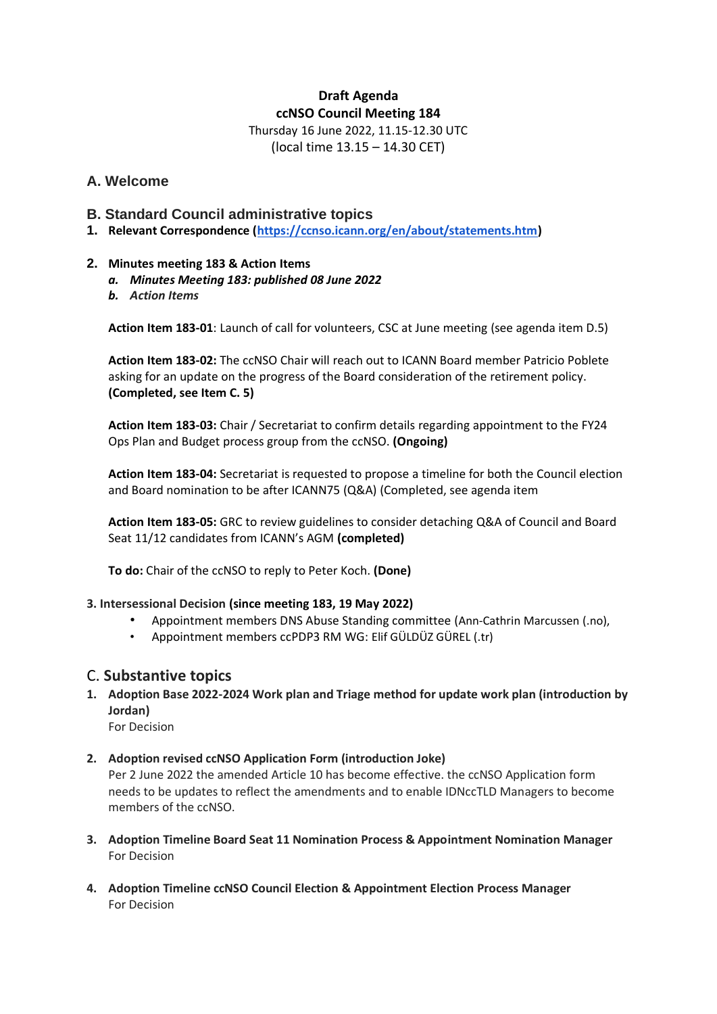## **Draft Agenda ccNSO Council Meeting 184**

Thursday 16 June 2022, 11.15-12.30 UTC (local time 13.15 – 14.30 CET)

## **A. Welcome**

- **B. Standard Council administrative topics**
- **1. Relevant Correspondence [\(https://ccnso.icann.org/en/about/statements.htm\)](https://ccnso.icann.org/en/about/statements.htm)**

#### **2. Minutes meeting 183 & Action Items**

- *a. Minutes Meeting 183: published 08 June 2022*
- *b. Action Items*

**Action Item 183-01**: Launch of call for volunteers, CSC at June meeting (see agenda item D.5)

**Action Item 183-02:** The ccNSO Chair will reach out to ICANN Board member Patricio Poblete asking for an update on the progress of the Board consideration of the retirement policy. **(Completed, see Item C. 5)**

**Action Item 183-03:** Chair / Secretariat to confirm details regarding appointment to the FY24 Ops Plan and Budget process group from the ccNSO. **(Ongoing)**

**Action Item 183-04:** Secretariat is requested to propose a timeline for both the Council election and Board nomination to be after ICANN75 (Q&A) (Completed, see agenda item

**Action Item 183-05:** GRC to review guidelines to consider detaching Q&A of Council and Board Seat 11/12 candidates from ICANN's AGM **(completed)**

**To do:** Chair of the ccNSO to reply to Peter Koch. **(Done)**

#### **3. Intersessional Decision (since meeting 183, 19 May 2022)**

- Appointment members DNS Abuse Standing committee (Ann-Cathrin Marcussen (.no),
- Appointment members ccPDP3 RM WG: Elif GÜLDÜZ GÜREL (.tr)

## C. **Substantive topics**

**1. Adoption Base 2022-2024 Work plan and Triage method for update work plan (introduction by Jordan)**

For Decision

## **2. Adoption revised ccNSO Application Form (introduction Joke)**

Per 2 June 2022 the amended Article 10 has become effective. the ccNSO Application form needs to be updates to reflect the amendments and to enable IDNccTLD Managers to become members of the ccNSO.

- **3. Adoption Timeline Board Seat 11 Nomination Process & Appointment Nomination Manager** For Decision
- **4. Adoption Timeline ccNSO Council Election & Appointment Election Process Manager** For Decision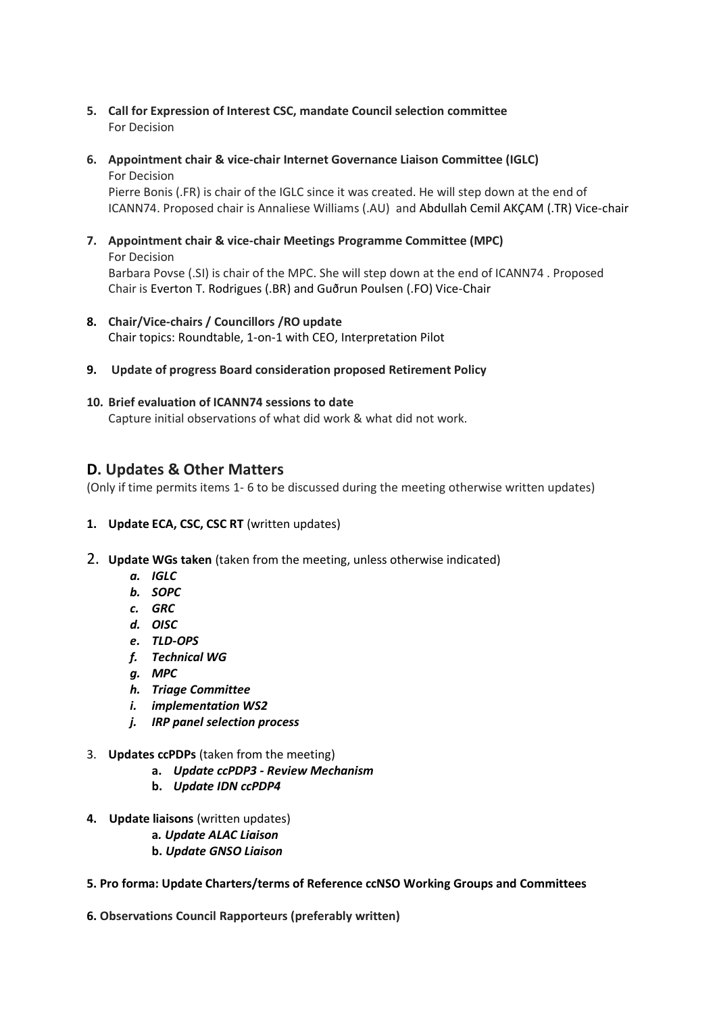- **5. Call for Expression of Interest CSC, mandate Council selection committee** For Decision
- **6. Appointment chair & vice-chair Internet Governance Liaison Committee (IGLC)** For Decision

Pierre Bonis (.FR) is chair of the IGLC since it was created. He will step down at the end of ICANN74. Proposed chair is Annaliese Williams (.AU) and Abdullah Cemil AKÇAM (.TR) Vice-chair

- **7. Appointment chair & vice-chair Meetings Programme Committee (MPC)** For Decision Barbara Povse (.SI) is chair of the MPC. She will step down at the end of ICANN74 . Proposed Chair is Everton T. Rodrigues (.BR) and Guðrun Poulsen (.FO) Vice-Chair
- **8. Chair/Vice-chairs / Councillors /RO update** Chair topics: Roundtable, 1-on-1 with CEO, Interpretation Pilot
- **9. Update of progress Board consideration proposed Retirement Policy**

#### **10. Brief evaluation of ICANN74 sessions to date**

Capture initial observations of what did work & what did not work.

# **D. Updates & Other Matters**

(Only if time permits items 1- 6 to be discussed during the meeting otherwise written updates)

- **1. Update ECA, CSC, CSC RT** (written updates)
- 2. **Update WGs taken** (taken from the meeting, unless otherwise indicated)
	- *a. IGLC*
	- *b. SOPC*
	- *c. GRC*
	- *d. OISC*
	- *e. TLD-OPS*
	- *f. Technical WG*
	- *g. MPC*
	- *h. Triage Committee*
	- *i. implementation WS2*
	- *j. IRP panel selection process*
- 3. **Updates ccPDPs** (taken from the meeting)
	- **a.** *Update ccPDP3 - Review Mechanism*
	- **b.** *Update IDN ccPDP4*
- **4. Update liaisons** (written updates)
	- **a***. Update ALAC Liaison*
	- **b.** *Update GNSO Liaison*
- **5. Pro forma: Update Charters/terms of Reference ccNSO Working Groups and Committees**

**6. Observations Council Rapporteurs (preferably written)**